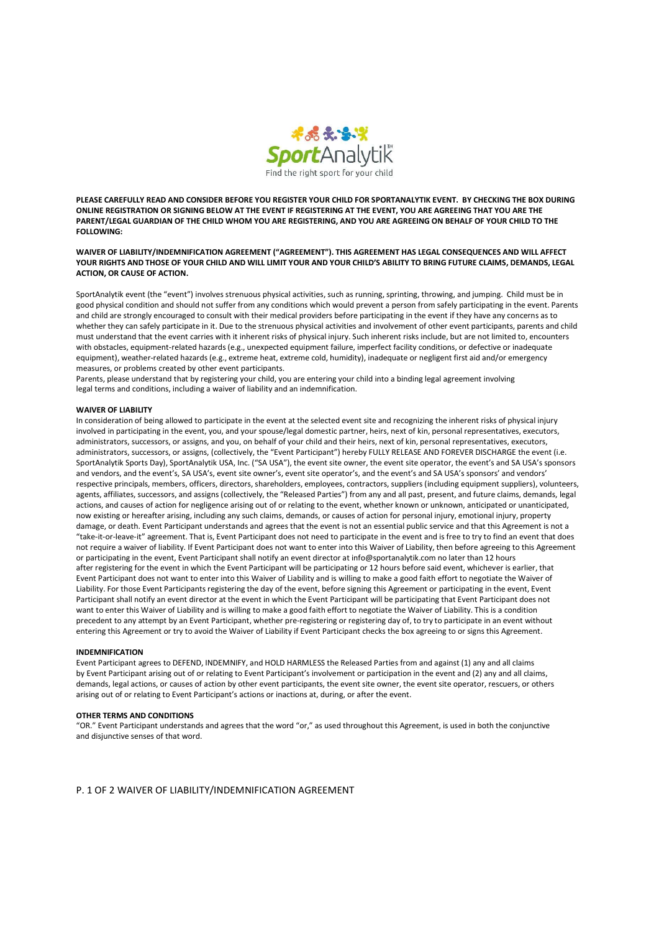

PLEASE CAREFULLY READ AND CONSIDER BEFORE YOU REGISTER YOUR CHILD FOR SPORTANALYTIK EVENT. BY CHECKING THE BOX DURING ONLINE REGISTRATION OR SIGNING BELOW AT THE EVENT IF REGISTERING AT THE EVENT, YOU ARE AGREEING THAT YOU ARE THE PARENT/LEGAL GUARDIAN OF THE CHILD WHOM YOU ARE REGISTERING, AND YOU ARE AGREEING ON BEHALF OF YOUR CHILD TO THE FOLLOWING:

WAIVER OF LIABILITY/INDEMNIFICATION AGREEMENT ("AGREEMENT"). THIS AGREEMENT HAS LEGAL CONSEQUENCES AND WILL AFFECT YOUR RIGHTS AND THOSE OF YOUR CHILD AND WILL LIMIT YOUR AND YOUR CHILD'S ABILITY TO BRING FUTURE CLAIMS, DEMANDS, LEGAL ACTION, OR CAUSE OF ACTION.

SportAnalytik event (the "event") involves strenuous physical activities, such as running, sprinting, throwing, and jumping. Child must be in good physical condition and should not suffer from any conditions which would prevent a person from safely participating in the event. Parents and child are strongly encouraged to consult with their medical providers before participating in the event if they have any concerns as to whether they can safely participate in it. Due to the strenuous physical activities and involvement of other event participants, parents and child must understand that the event carries with it inherent risks of physical injury. Such inherent risks include, but are not limited to, encounters with obstacles, equipment-related hazards (e.g., unexpected equipment failure, imperfect facility conditions, or defective or inadequate equipment), weather-related hazards (e.g., extreme heat, extreme cold, humidity), inadequate or negligent first aid and/or emergency measures, or problems created by other event participants.

Parents, please understand that by registering your child, you are entering your child into a binding legal agreement involving legal terms and conditions, including a waiver of liability and an indemnification.

## WAIVER OF LIABILITY

In consideration of being allowed to participate in the event at the selected event site and recognizing the inherent risks of physical injury involved in participating in the event, you, and your spouse/legal domestic partner, heirs, next of kin, personal representatives, executors, administrators, successors, or assigns, and you, on behalf of your child and their heirs, next of kin, personal representatives, executors, administrators, successors, or assigns, (collectively, the "Event Participant") hereby FULLY RELEASE AND FOREVER DISCHARGE the event (i.e. SportAnalytik Sports Day), SportAnalytik USA, Inc. ("SA USA"), the event site owner, the event site operator, the event's and SA USA's sponsors and vendors, and the event's, SA USA's, event site owner's, event site operator's, and the event's and SA USA's sponsors' and vendors' respective principals, members, officers, directors, shareholders, employees, contractors, suppliers (including equipment suppliers), volunteers, agents, affiliates, successors, and assigns (collectively, the "Released Parties") from any and all past, present, and future claims, demands, legal actions, and causes of action for negligence arising out of or relating to the event, whether known or unknown, anticipated or unanticipated, now existing or hereafter arising, including any such claims, demands, or causes of action for personal injury, emotional injury, property damage, or death. Event Participant understands and agrees that the event is not an essential public service and that this Agreement is not a "take-it-or-leave-it" agreement. That is, Event Participant does not need to participate in the event and is free to try to find an event that does not require a waiver of liability. If Event Participant does not want to enter into this Waiver of Liability, then before agreeing to this Agreement or participating in the event, Event Participant shall notify an event director at info@sportanalytik.com no later than 12 hours after registering for the event in which the Event Participant will be participating or 12 hours before said event, whichever is earlier, that Event Participant does not want to enter into this Waiver of Liability and is willing to make a good faith effort to negotiate the Waiver of Liability. For those Event Participants registering the day of the event, before signing this Agreement or participating in the event, Event Participant shall notify an event director at the event in which the Event Participant will be participating that Event Participant does not want to enter this Waiver of Liability and is willing to make a good faith effort to negotiate the Waiver of Liability. This is a condition precedent to any attempt by an Event Participant, whether pre-registering or registering day of, to try to participate in an event without entering this Agreement or try to avoid the Waiver of Liability if Event Participant checks the box agreeing to or signs this Agreement.

## INDEMNIFICATION

Event Participant agrees to DEFEND, INDEMNIFY, and HOLD HARMLESS the Released Parties from and against (1) any and all claims by Event Participant arising out of or relating to Event Participant's involvement or participation in the event and (2) any and all claims, demands, legal actions, or causes of action by other event participants, the event site owner, the event site operator, rescuers, or others arising out of or relating to Event Participant's actions or inactions at, during, or after the event.

## OTHER TERMS AND CONDITIONS

"OR." Event Participant understands and agrees that the word "or," as used throughout this Agreement, is used in both the conjunctive and disjunctive senses of that word.

P. 1 OF 2 WAIVER OF LIABILITY/INDEMNIFICATION AGREEMENT